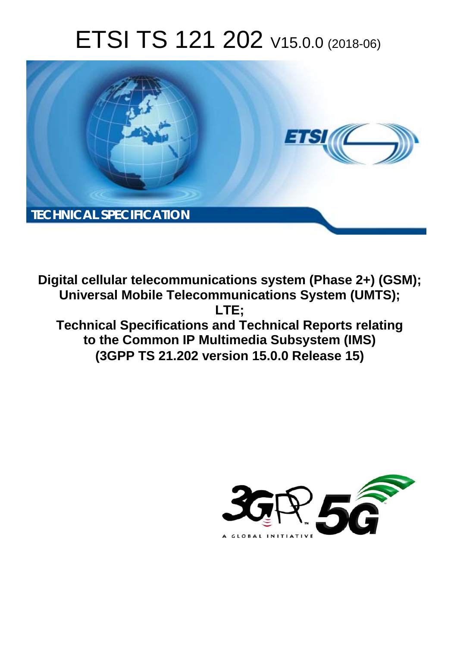# ETSI TS 121 202 V15.0.0 (2018-06)



**Digital cellular telecommunications system (Phase 2+) (GSM); Universal Mobile Telecommunications System (UMTS); LTE; Technical Specifications and Technical Reports relating to the Common IP Multimedia Subsystem (IMS) (3GPP TS 21.202 version 15.0.0 Release 15)** 

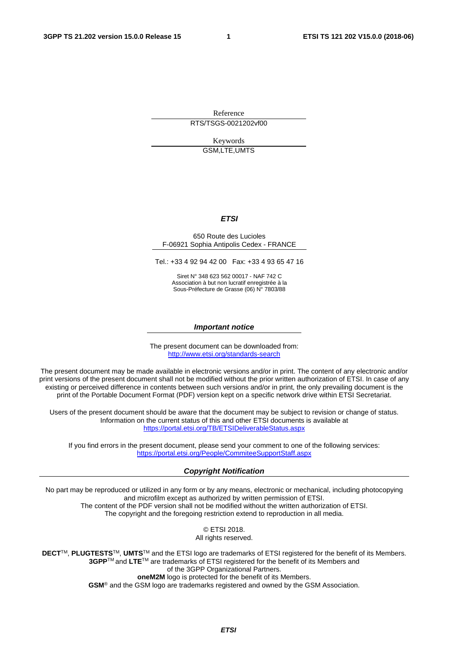Reference

RTS/TSGS-0021202vf00

Keywords GSM,LTE,UMTS

#### *ETSI*

#### 650 Route des Lucioles F-06921 Sophia Antipolis Cedex - FRANCE

Tel.: +33 4 92 94 42 00 Fax: +33 4 93 65 47 16

Siret N° 348 623 562 00017 - NAF 742 C Association à but non lucratif enregistrée à la Sous-Préfecture de Grasse (06) N° 7803/88

#### *Important notice*

The present document can be downloaded from: <http://www.etsi.org/standards-search>

The present document may be made available in electronic versions and/or in print. The content of any electronic and/or print versions of the present document shall not be modified without the prior written authorization of ETSI. In case of any existing or perceived difference in contents between such versions and/or in print, the only prevailing document is the print of the Portable Document Format (PDF) version kept on a specific network drive within ETSI Secretariat.

Users of the present document should be aware that the document may be subject to revision or change of status. Information on the current status of this and other ETSI documents is available at <https://portal.etsi.org/TB/ETSIDeliverableStatus.aspx>

If you find errors in the present document, please send your comment to one of the following services: <https://portal.etsi.org/People/CommiteeSupportStaff.aspx>

#### *Copyright Notification*

No part may be reproduced or utilized in any form or by any means, electronic or mechanical, including photocopying and microfilm except as authorized by written permission of ETSI. The content of the PDF version shall not be modified without the written authorization of ETSI. The copyright and the foregoing restriction extend to reproduction in all media.

> © ETSI 2018. All rights reserved.

**DECT**TM, **PLUGTESTS**TM, **UMTS**TM and the ETSI logo are trademarks of ETSI registered for the benefit of its Members. **3GPP**TM and **LTE**TM are trademarks of ETSI registered for the benefit of its Members and of the 3GPP Organizational Partners. **oneM2M** logo is protected for the benefit of its Members.

**GSM**® and the GSM logo are trademarks registered and owned by the GSM Association.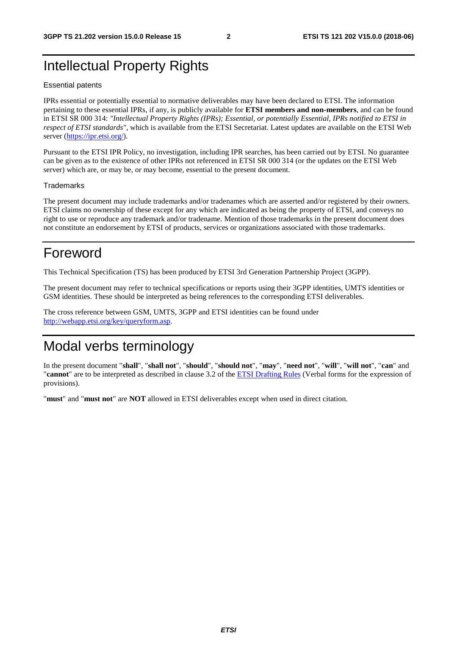### Intellectual Property Rights

#### Essential patents

IPRs essential or potentially essential to normative deliverables may have been declared to ETSI. The information pertaining to these essential IPRs, if any, is publicly available for **ETSI members and non-members**, and can be found in ETSI SR 000 314: *"Intellectual Property Rights (IPRs); Essential, or potentially Essential, IPRs notified to ETSI in respect of ETSI standards"*, which is available from the ETSI Secretariat. Latest updates are available on the ETSI Web server ([https://ipr.etsi.org/\)](https://ipr.etsi.org/).

Pursuant to the ETSI IPR Policy, no investigation, including IPR searches, has been carried out by ETSI. No guarantee can be given as to the existence of other IPRs not referenced in ETSI SR 000 314 (or the updates on the ETSI Web server) which are, or may be, or may become, essential to the present document.

#### **Trademarks**

The present document may include trademarks and/or tradenames which are asserted and/or registered by their owners. ETSI claims no ownership of these except for any which are indicated as being the property of ETSI, and conveys no right to use or reproduce any trademark and/or tradename. Mention of those trademarks in the present document does not constitute an endorsement by ETSI of products, services or organizations associated with those trademarks.

### Foreword

This Technical Specification (TS) has been produced by ETSI 3rd Generation Partnership Project (3GPP).

The present document may refer to technical specifications or reports using their 3GPP identities, UMTS identities or GSM identities. These should be interpreted as being references to the corresponding ETSI deliverables.

The cross reference between GSM, UMTS, 3GPP and ETSI identities can be found under [http://webapp.etsi.org/key/queryform.asp.](http://webapp.etsi.org/key/queryform.asp)

### Modal verbs terminology

In the present document "**shall**", "**shall not**", "**should**", "**should not**", "**may**", "**need not**", "**will**", "**will not**", "**can**" and "**cannot**" are to be interpreted as described in clause 3.2 of the [ETSI Drafting Rules](https://portal.etsi.org/Services/editHelp!/Howtostart/ETSIDraftingRules.aspx) (Verbal forms for the expression of provisions).

"**must**" and "**must not**" are **NOT** allowed in ETSI deliverables except when used in direct citation.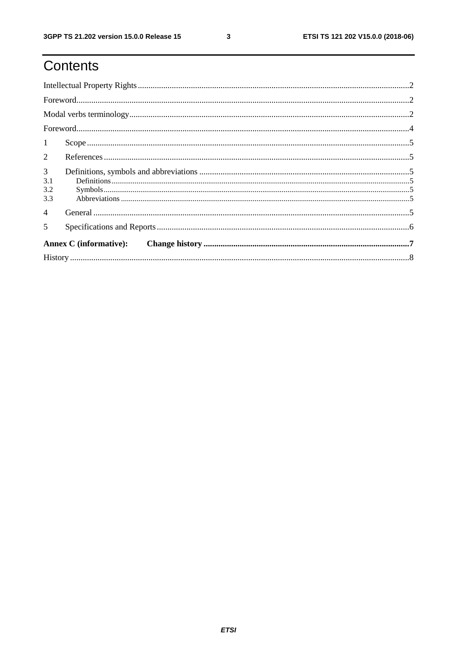# Contents

| $\mathbf{1}$                  |  |  |  |  |  |  |  |
|-------------------------------|--|--|--|--|--|--|--|
| 2                             |  |  |  |  |  |  |  |
| 3<br>3.1<br>3.2               |  |  |  |  |  |  |  |
| 3.3                           |  |  |  |  |  |  |  |
| $\overline{4}$                |  |  |  |  |  |  |  |
| 5                             |  |  |  |  |  |  |  |
| <b>Annex C</b> (informative): |  |  |  |  |  |  |  |
|                               |  |  |  |  |  |  |  |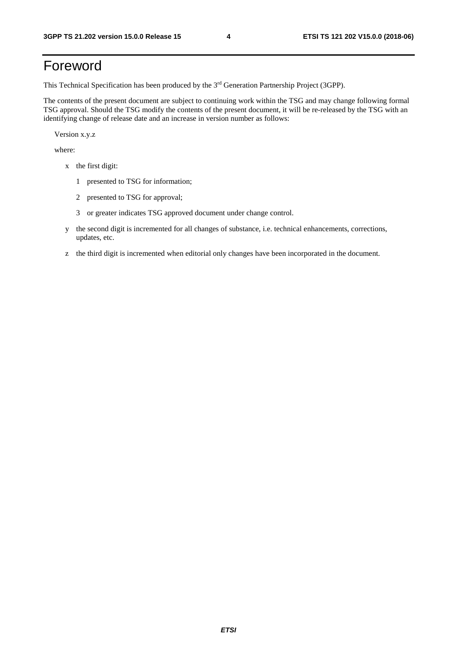# Foreword

This Technical Specification has been produced by the 3rd Generation Partnership Project (3GPP).

The contents of the present document are subject to continuing work within the TSG and may change following formal TSG approval. Should the TSG modify the contents of the present document, it will be re-released by the TSG with an identifying change of release date and an increase in version number as follows:

Version x.y.z

where:

- x the first digit:
	- 1 presented to TSG for information;
	- 2 presented to TSG for approval;
	- 3 or greater indicates TSG approved document under change control.
- y the second digit is incremented for all changes of substance, i.e. technical enhancements, corrections, updates, etc.
- z the third digit is incremented when editorial only changes have been incorporated in the document.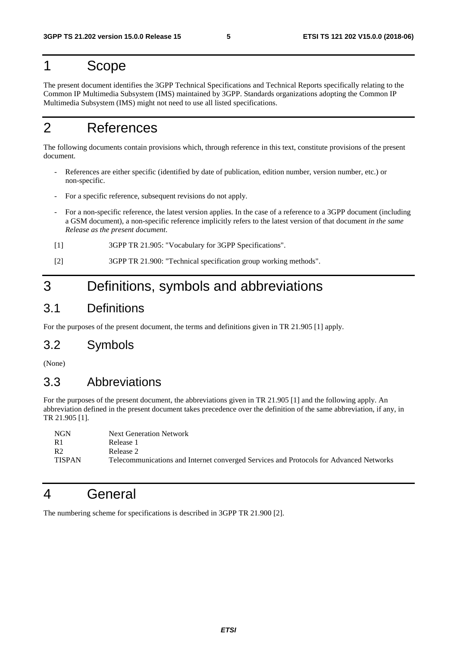### 1 Scope

The present document identifies the 3GPP Technical Specifications and Technical Reports specifically relating to the Common IP Multimedia Subsystem (IMS) maintained by 3GPP. Standards organizations adopting the Common IP Multimedia Subsystem (IMS) might not need to use all listed specifications.

# 2 References

The following documents contain provisions which, through reference in this text, constitute provisions of the present document.

- References are either specific (identified by date of publication, edition number, version number, etc.) or non-specific.
- For a specific reference, subsequent revisions do not apply.
- For a non-specific reference, the latest version applies. In the case of a reference to a 3GPP document (including a GSM document), a non-specific reference implicitly refers to the latest version of that document *in the same Release as the present document*.
- [1] 3GPP TR 21.905: "Vocabulary for 3GPP Specifications".
- [2] 3GPP TR 21.900: "Technical specification group working methods".

# 3 Definitions, symbols and abbreviations

### 3.1 Definitions

For the purposes of the present document, the terms and definitions given in TR 21.905 [1] apply.

### 3.2 Symbols

(None)

### 3.3 Abbreviations

For the purposes of the present document, the abbreviations given in TR 21.905 [1] and the following apply. An abbreviation defined in the present document takes precedence over the definition of the same abbreviation, if any, in TR 21.905 [1].

| <b>NGN</b>       | <b>Next Generation Network</b>                                                         |
|------------------|----------------------------------------------------------------------------------------|
| - R 1            | Release 1                                                                              |
| - R <sub>2</sub> | Release 2                                                                              |
| <b>TISPAN</b>    | Telecommunications and Internet converged Services and Protocols for Advanced Networks |

### 4 General

The numbering scheme for specifications is described in 3GPP TR 21.900 [2].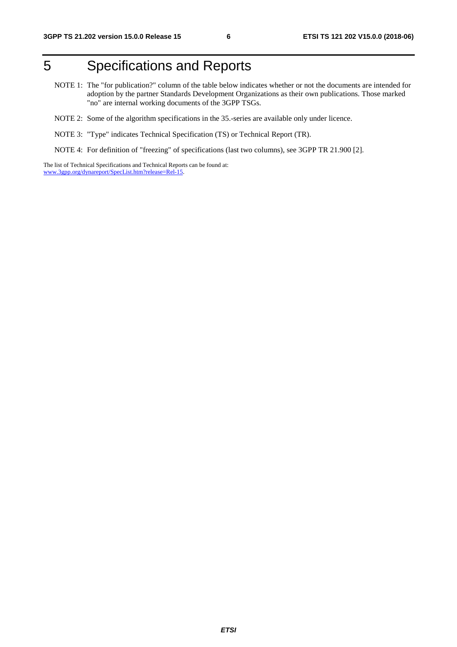# 5 Specifications and Reports

- NOTE 1: The "for publication?" column of the table below indicates whether or not the documents are intended for adoption by the partner Standards Development Organizations as their own publications. Those marked "no" are internal working documents of the 3GPP TSGs.
- NOTE 2: Some of the algorithm specifications in the 35.-series are available only under licence.
- NOTE 3: "Type" indicates Technical Specification (TS) or Technical Report (TR).
- NOTE 4: For definition of "freezing" of specifications (last two columns), see 3GPP TR 21.900 [2].

The list of Technical Specifications and Technical Reports can be found at: [www.3gpp.org/dynareport/SpecList.htm?release=Rel-15](http://www.3gpp.org/dynareport/SpecList.htm?release=Rel-15).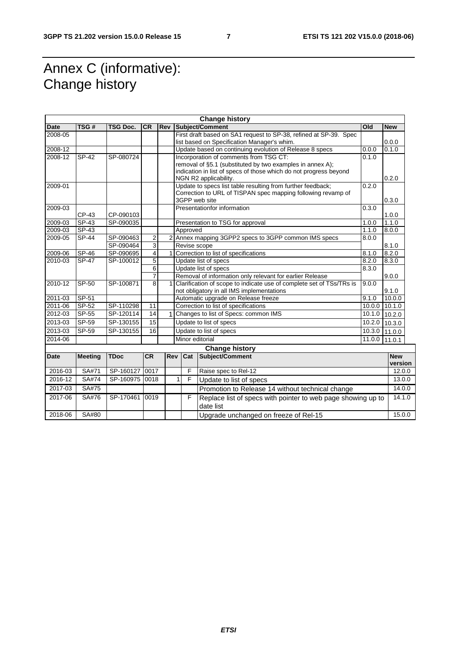# Annex C (informative): Change history

| <b>Change history</b> |                |                 |                         |     |                                                                                                                                     |                                                                                                                                                                                                                     |        |                       |  |
|-----------------------|----------------|-----------------|-------------------------|-----|-------------------------------------------------------------------------------------------------------------------------------------|---------------------------------------------------------------------------------------------------------------------------------------------------------------------------------------------------------------------|--------|-----------------------|--|
| <b>Date</b>           | TSG#           | <b>TSG Doc.</b> | <b>CR</b>               | Rev |                                                                                                                                     | Subject/Comment                                                                                                                                                                                                     | Old    | <b>New</b>            |  |
| 2008-05               |                |                 |                         |     |                                                                                                                                     | First draft based on SA1 request to SP-38, refined at SP-39. Spec<br>list based on Specification Manager's whim.                                                                                                    |        | 0.0.0                 |  |
| 2008-12               |                |                 |                         |     |                                                                                                                                     | Update based on continuing evolution of Release 8 specs                                                                                                                                                             | 0.0.0  | 0.1.0                 |  |
| 2008-12               | <b>SP-42</b>   | SP-080724       |                         |     |                                                                                                                                     | Incorporation of comments from TSG CT:<br>0.1.0<br>removal of §5.1 (substituted by two examples in annex A);<br>indication in list of specs of those which do not progress beyond<br>NGN R2 applicability.<br>0.2.0 |        |                       |  |
| 2009-01               |                |                 |                         |     |                                                                                                                                     | Update to specs list table resulting from further feedback;<br>Correction to URL of TISPAN spec mapping following revamp of<br>3GPP web site                                                                        | 0.2.0  | 0.3.0                 |  |
| 2009-03               | CP-43          | CP-090103       |                         |     |                                                                                                                                     | Presentationfor information                                                                                                                                                                                         | 0.3.0  | 1.0.0                 |  |
| 2009-03               | $SP-43$        | SP-090035       |                         |     |                                                                                                                                     | Presentation to TSG for approval                                                                                                                                                                                    | 1.0.0  | 1.1.0                 |  |
| 2009-03               | SP-43          |                 |                         |     | Approved                                                                                                                            |                                                                                                                                                                                                                     | 1.1.0  | 8.0.0                 |  |
| 2009-05               | SP-44          | SP-090463       | 2                       |     |                                                                                                                                     | 2 Annex mapping 3GPP2 specs to 3GPP common IMS specs                                                                                                                                                                | 8.0.0  |                       |  |
|                       |                | SP-090464       | $\overline{3}$          |     | Revise scope                                                                                                                        |                                                                                                                                                                                                                     |        | 8.1.0                 |  |
| 2009-06               | $SP-46$        | SP-090695       | $\overline{\mathbf{r}}$ |     |                                                                                                                                     | Correction to list of specifications                                                                                                                                                                                | 8.1.0  | 8.2.0                 |  |
| 2010-03               | $SP-47$        | SP-100012       | $\overline{5}$          |     |                                                                                                                                     | Update list of specs                                                                                                                                                                                                | 8.2.0  | 8.3.0                 |  |
|                       |                |                 | 6                       |     |                                                                                                                                     | Update list of specs                                                                                                                                                                                                | 8.3.0  |                       |  |
|                       |                |                 | $\overline{7}$          |     |                                                                                                                                     | Removal of information only relevant for earlier Release                                                                                                                                                            |        | 9.0.0                 |  |
| 2010-12               | SP-50          | SP-100871       | 8                       | 1   | Clarification of scope to indicate use of complete set of TSs/TRs is<br>9.0.0<br>not obligatory in all IMS implementations<br>9.1.0 |                                                                                                                                                                                                                     |        |                       |  |
| 2011-03               | SP-51          |                 |                         |     |                                                                                                                                     | Automatic upgrade on Release freeze<br>9.1.0<br>10.0.0                                                                                                                                                              |        |                       |  |
| 2011-06               | SP-52          | SP-110298       | 11                      |     |                                                                                                                                     | Correction to list of specifications<br>10.0.0<br>10.1.0                                                                                                                                                            |        |                       |  |
| 2012-03               | SP-55          | SP-120114       | 14                      |     | Changes to list of Specs: common IMS<br>10.1.0                                                                                      |                                                                                                                                                                                                                     | 10.2.0 |                       |  |
| 2013-03               | SP-59          | SP-130155       | 15                      |     | Update to list of specs<br>10.2.0                                                                                                   |                                                                                                                                                                                                                     | 10.3.0 |                       |  |
| 2013-03               | SP-59          | SP-130155       | 16                      |     | Update to list of specs<br>10.3.0                                                                                                   |                                                                                                                                                                                                                     |        | 11.0.0                |  |
| 2014-06               |                |                 |                         |     | Minor editorial<br>11.0.0                                                                                                           |                                                                                                                                                                                                                     |        | 11.0.1                |  |
|                       |                |                 |                         |     |                                                                                                                                     | <b>Change history</b>                                                                                                                                                                                               |        |                       |  |
| <b>Date</b>           | <b>Meeting</b> | <b>TDoc</b>     | <b>CR</b>               | Rev | Cat                                                                                                                                 | Subject/Comment                                                                                                                                                                                                     |        | <b>New</b><br>version |  |
| 2016-03               | SA#71          | SP-160127       | 0017                    |     | F                                                                                                                                   | Raise spec to Rel-12                                                                                                                                                                                                |        | 12.0.0                |  |
| 2016-12               | SA#74          | SP-160975 0018  |                         |     | F<br>1                                                                                                                              | Update to list of specs                                                                                                                                                                                             |        | 13.0.0                |  |
| 2017-03               | SA#75          |                 |                         |     |                                                                                                                                     | Promotion to Release 14 without technical change                                                                                                                                                                    |        | 14.0.0                |  |
| 2017-06               | SA#76          | SP-170461       | 0019                    |     | F                                                                                                                                   | Replace list of specs with pointer to web page showing up to<br>date list                                                                                                                                           |        | 14.1.0                |  |
| 2018-06               | SA#80          |                 |                         |     |                                                                                                                                     | Upgrade unchanged on freeze of Rel-15                                                                                                                                                                               |        | 15.0.0                |  |